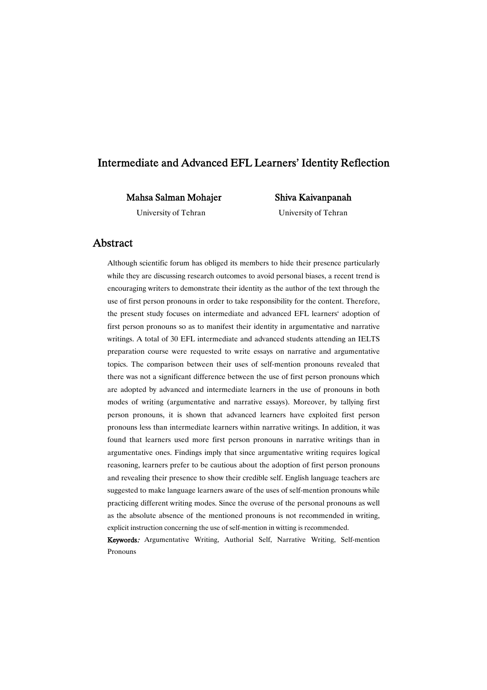## Intermediate and Advanced EFL Learners' Identity Reflection

Mahsa Salman Mohajer

Shiva Kaivanpanah University of Tehran

University of Tehran

## Abstract

Although scientific forum has obliged its members to hide their presence particularly while they are discussing research outcomes to avoid personal biases, a recent trend is encouraging writers to demonstrate their identity as the author of the text through the use of first person pronouns in order to take responsibility for the content. Therefore, the present study focuses on intermediate and advanced EFL learners' adoption of first person pronouns so as to manifest their identity in argumentative and narrative writings. A total of 30 EFL intermediate and advanced students attending an IELTS preparation course were requested to write essays on narrative and argumentative topics. The comparison between their uses of self-mention pronouns revealed that there was not a significant difference between the use of first person pronouns which are adopted by advanced and intermediate learners in the use of pronouns in both modes of writing (argumentative and narrative essays). Moreover, by tallying first person pronouns, it is shown that advanced learners have exploited first person pronouns less than intermediate learners within narrative writings. In addition, it was found that learners used more first person pronouns in narrative writings than in argumentative ones. Findings imply that since argumentative writing requires logical reasoning, learners prefer to be cautious about the adoption of first person pronouns and revealing their presence to show their credible self. English language teachers are suggested to make language learners aware of the uses of self-mention pronouns while practicing different writing modes. Since the overuse of the personal pronouns as well as the absolute absence of the mentioned pronouns is not recommended in writing, explicit instruction concerning the use of self-mention in witting is recommended.

Keywords: Argumentative Writing, Authorial Self, Narrative Writing, Self-mention Pronouns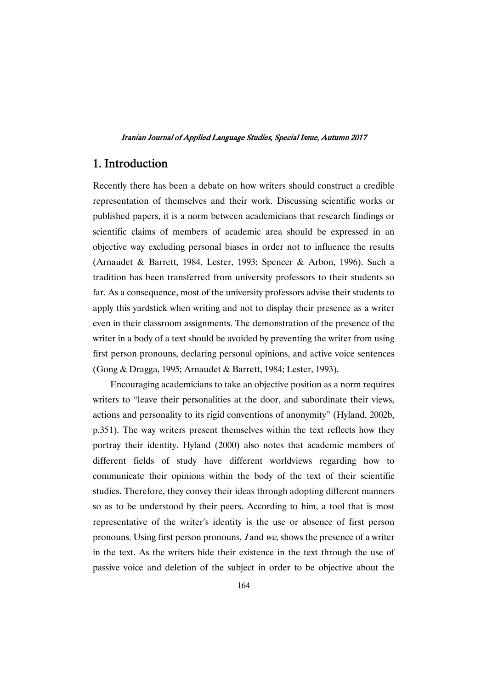# 1.Introduction

Recently there has been a debate on how writers should construct a credible representation of themselves and their work. Discussing scientific works or published papers, it is a norm between academicians that research findings or scientific claims of members of academic area should be expressed in an objective way excluding personal biases in order not to influence the results (Arnaudet & Barrett, 1984, Lester, 1993; Spencer & Arbon, 1996). Such a tradition has been transferred from university professors to their students so far. As a consequence, most of the university professors advise their students to apply this yardstick when writing and not to display their presence as a writer even in their classroom assignments. The demonstration of the presence of the writer in a body of a text should be avoided by preventing the writer from using first person pronouns, declaring personal opinions, and active voice sentences (Gong & Dragga, 1995; Arnaudet & Barrett, 1984; Lester, 1993).

Encouraging academicians to take an objective position as a norm requires writers to "leave their personalities at the door, and subordinate their views, actions and personality to its rigid conventions of anonymity" (Hyland, 2002b, p.351). The way writers present themselves within the text reflects how they portray their identity. Hyland (2000) also notes that academic members of different fields of study have different worldviews regarding how to communicate their opinions within the body of the text of their scientific studies. Therefore, they convey their ideas through adopting different manners so as to be understood by their peers. According to him, a tool that is most representative of the writer's identity is the use or absence of first person pronouns. Using first person pronouns, <sup>I</sup> and we, shows the presence of a writer in the text. As the writers hide their existence in the text through the use of passive voice and deletion of the subject in order to be objective about the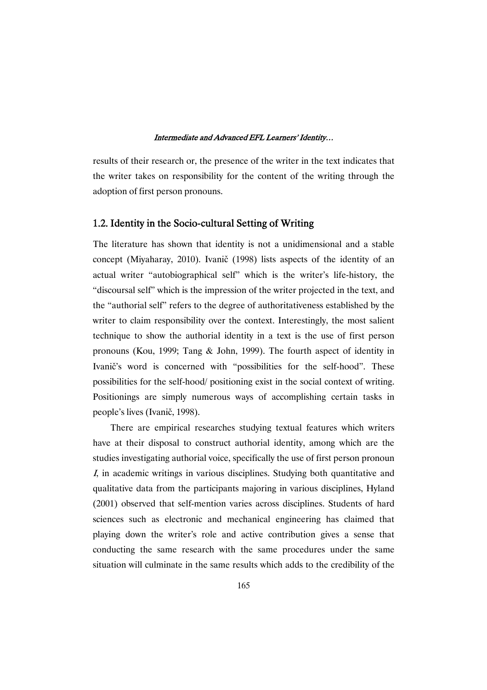results of their research or, the presence of the writer in the text indicates that the writer takes on responsibility for the content of the writing through the adoption of first person pronouns.

### 1.2. Identity in the Socio-cultural Setting of Writing

The literature has shown that identity is not a unidimensional and a stable concept (Miyaharay, 2010). Ivanič (1998) lists aspects of the identity of an actual writer "autobiographical self" which is the writer's life-history, the "discoursal self" which is the impression of the writer projected in the text, and the "authorial self" refers to the degree of authoritativeness established by the writer to claim responsibility over the context. Interestingly, the most salient technique to show the authorial identity in a text is the use of first person pronouns (Kou, 1999; Tang & John, 1999). The fourth aspect of identity in Ivanic's word is concerned with "possibilities for the self-hood". These possibilities for the self-hood/ positioning exist in the social context of writing. Positionings are simply numerous ways of accomplishing certain tasks in people's lives (Ivanič, 1998).

There are empirical researches studying textual features which writers have at their disposal to construct authorial identity, among which are the studies investigating authorial voice, specifically the use of first person pronoun <sup>I</sup>, in academic writings in various disciplines. Studying both quantitative and qualitative data from the participants majoring in various disciplines, Hyland (2001) observed that self-mention varies across disciplines. Students of hard sciences such as electronic and mechanical engineering has claimed that playing down the writer's role and active contribution gives a sense that conducting the same research with the same procedures under the same situation will culminate in the same results which adds to the credibility of the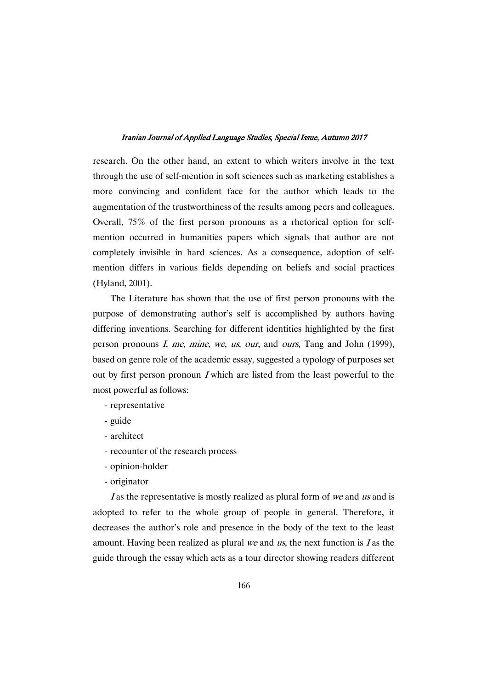research. On the other hand, an extent to which writers involve in the text through the use of self-mention in soft sciences such as marketing establishes a more convincing and confident face for the author which leads to the augmentation of the trustworthiness of the results among peers and colleagues. Overall, 75% of the first person pronouns as a rhetorical option for selfmention occurred in humanities papers which signals that author are not completely invisible in hard sciences. As a consequence, adoption of selfmention differs in various fields depending on beliefs and social practices (Hyland, 2001).

The Literature has shown that the use of first person pronouns with the purpose of demonstrating author's self is accomplished by authors having differing inventions. Searching for different identities highlighted by the first person pronouns I, me, mine, we, us, our, and ours, Tang and John (1999), based on genre role of the academic essay, suggested a typology of purposes set out by first person pronoun <sup>I</sup> which are listed from the least powerful to the most powerful as follows:

- representative
- guide
- architect
- recounter of the research process
- opinion-holder
- originator

I as the representative is mostly realized as plural form of we and us and is adopted to refer to the whole group of people in general. Therefore, it decreases the author's role and presence in the body of the text to the least amount. Having been realized as plural we and us, the next function is  $I$  as the guide through the essay which acts as a tour director showing readers different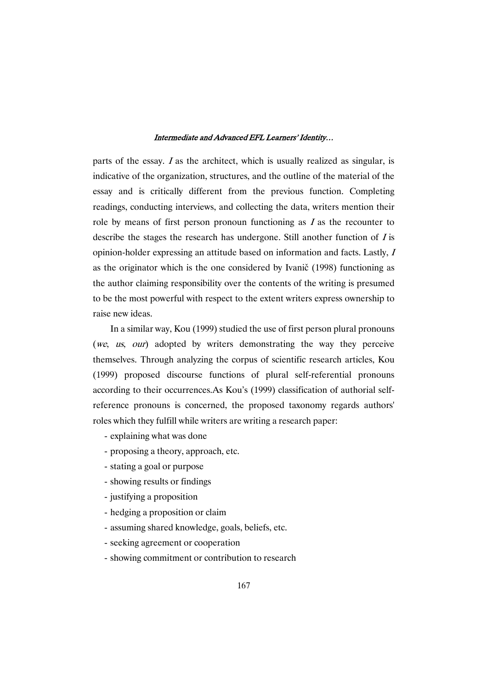parts of the essay. <sup>I</sup> as the architect, which is usually realized as singular, is indicative of the organization, structures, and the outline of the material of the essay and is critically different from the previous function. Completing readings, conducting interviews, and collecting the data, writers mention their role by means of first person pronoun functioning as  $I$  as the recounter to describe the stages the research has undergone. Still another function of  $I$  is opinion-holder expressing an attitude based on information and facts. Lastly, <sup>I</sup> as the originator which is the one considered by Ivanič (1998) functioning as the author claiming responsibility over the contents of the writing is presumed to be the most powerful with respect to the extent writers express ownership to raise new ideas.

In a similar way, Kou (1999) studied the use of first person plural pronouns (we, us, our) adopted by writers demonstrating the way they perceive themselves. Through analyzing the corpus of scientific research articles, Kou (1999) proposed discourse functions of plural self-referential pronouns according to their occurrences.As Kou's (1999) classification of authorial selfreference pronouns is concerned, the proposed taxonomy regards authors' roles which they fulfill while writers are writing a research paper:

- explaining what was done
- proposing a theory, approach, etc.
- stating a goal or purpose
- showing results or findings
- justifying a proposition
- hedging a proposition or claim
- assuming shared knowledge, goals, beliefs, etc.
- seeking agreement or cooperation
- showing commitment or contribution to research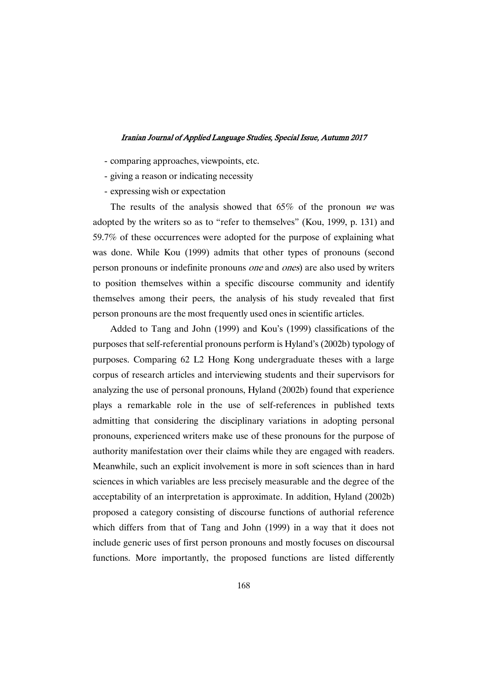- comparing approaches, viewpoints, etc.
- giving a reason or indicating necessity
- expressing wish or expectation

The results of the analysis showed that  $65\%$  of the pronoun we was adopted by the writers so as to "refer to themselves" (Kou, 1999, p. 131) and 59.7% of these occurrences were adopted for the purpose of explaining what was done. While Kou (1999) admits that other types of pronouns (second person pronouns or indefinite pronouns one and ones) are also used by writers to position themselves within a specific discourse community and identify themselves among their peers, the analysis of his study revealed that first person pronouns are the most frequently used ones in scientific articles.

Added to Tang and John (1999) and Kou's (1999) classifications of the purposes that self-referential pronouns perform is Hyland's (2002b) typology of purposes. Comparing 62 L2 Hong Kong undergraduate theses with a large corpus of research articles and interviewing students and their supervisors for analyzing the use of personal pronouns, Hyland (2002b) found that experience plays a remarkable role in the use of self-references in published texts admitting that considering the disciplinary variations in adopting personal pronouns, experienced writers make use of these pronouns for the purpose of authority manifestation over their claims while they are engaged with readers. Meanwhile, such an explicit involvement is more in soft sciences than in hard sciences in which variables are less precisely measurable and the degree of the acceptability of an interpretation is approximate. In addition, Hyland (2002b) proposed a category consisting of discourse functions of authorial reference which differs from that of Tang and John (1999) in a way that it does not include generic uses of first person pronouns and mostly focuses on discoursal functions. More importantly, the proposed functions are listed differently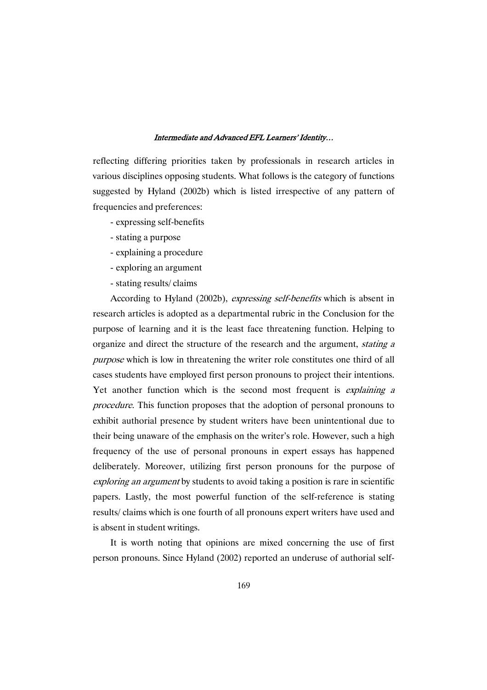reflecting differing priorities taken by professionals in research articles in various disciplines opposing students. What follows is the category of functions suggested by Hyland (2002b) which is listed irrespective of any pattern of frequencies and preferences:

- expressing self-benefits
- stating a purpose
- explaining a procedure
- exploring an argument
- stating results/ claims

According to Hyland (2002b), expressing self-benefits which is absent in research articles is adopted as a departmental rubric in the Conclusion for the purpose of learning and it is the least face threatening function. Helping to organize and direct the structure of the research and the argument, *stating a* purpose which is low in threatening the writer role constitutes one third of all cases students have employed first person pronouns to project their intentions. Yet another function which is the second most frequent is *explaining a* procedure. This function proposes that the adoption of personal pronouns to exhibit authorial presence by student writers have been unintentional due to their being unaware of the emphasis on the writer's role. However, such a high frequency of the use of personal pronouns in expert essays has happened deliberately. Moreover, utilizing first person pronouns for the purpose of exploring an argument by students to avoid taking a position is rare in scientific papers. Lastly, the most powerful function of the self-reference is stating results/ claims which is one fourth of all pronouns expert writers have used and is absent in student writings.

It is worth noting that opinions are mixed concerning the use of first person pronouns. Since Hyland (2002) reported an underuse of authorial self-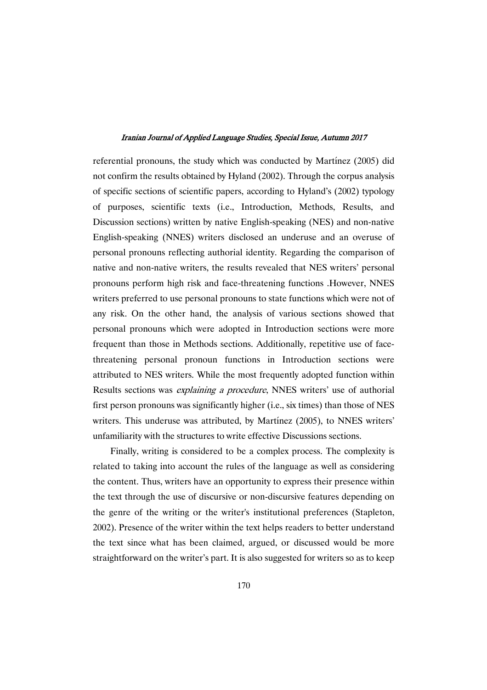referential pronouns, the study which was conducted by Martínez (2005) did not confirm the results obtained by Hyland (2002). Through the corpus analysis of specific sections of scientific papers, according to Hyland's (2002) typology of purposes, scientific texts (i.e., Introduction, Methods, Results, and Discussion sections) written by native English-speaking (NES) and non-native English-speaking (NNES) writers disclosed an underuse and an overuse of personal pronouns reflecting authorial identity. Regarding the comparison of native and non-native writers, the results revealed that NES writers' personal pronouns perform high risk and face-threatening functions .However, NNES writers preferred to use personal pronouns to state functions which were not of any risk. On the other hand, the analysis of various sections showed that personal pronouns which were adopted in Introduction sections were more frequent than those in Methods sections. Additionally, repetitive use of facethreatening personal pronoun functions in Introduction sections were attributed to NES writers. While the most frequently adopted function within Results sections was explaining <sup>a</sup> procedure, NNES writers' use of authorial first person pronouns was significantly higher (i.e., six times) than those of NES writers. This underuse was attributed, by Martínez (2005), to NNES writers' unfamiliarity with the structures to write effective Discussions sections.

Finally, writing is considered to be a complex process. The complexity is related to taking into account the rules of the language as well as considering the content. Thus, writers have an opportunity to express their presence within the text through the use of discursive or non-discursive features depending on the genre of the writing or the writer's institutional preferences (Stapleton, 2002). Presence of the writer within the text helps readers to better understand the text since what has been claimed, argued, or discussed would be more straightforward on the writer's part. It is also suggested for writers so as to keep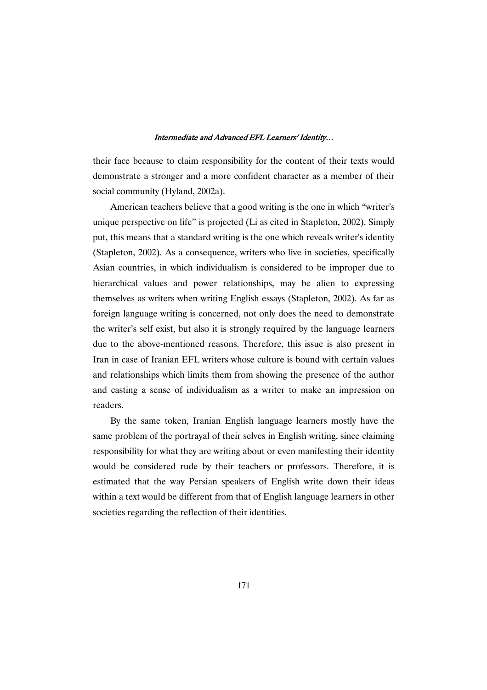their face because to claim responsibility for the content of their texts would demonstrate a stronger and a more confident character as a member of their social community (Hyland, 2002a).

American teachers believe that a good writing is the one in which "writer's unique perspective on life" is projected (Li as cited in Stapleton, 2002). Simply put, this means that a standard writing is the one which reveals writer's identity (Stapleton, 2002). As a consequence, writers who live in societies, specifically Asian countries, in which individualism is considered to be improper due to hierarchical values and power relationships, may be alien to expressing themselves as writers when writing English essays (Stapleton, 2002). As far as foreign language writing is concerned, not only does the need to demonstrate the writer's self exist, but also it is strongly required by the language learners due to the above-mentioned reasons. Therefore, this issue is also present in Iran in case of Iranian EFL writers whose culture is bound with certain values and relationships which limits them from showing the presence of the author and casting a sense of individualism as a writer to make an impression on readers.

By the same token, Iranian English language learners mostly have the same problem of the portrayal of their selves in English writing, since claiming responsibility for what they are writing about or even manifesting their identity would be considered rude by their teachers or professors. Therefore, it is estimated that the way Persian speakers of English write down their ideas within a text would be different from that of English language learners in other societies regarding the reflection of their identities.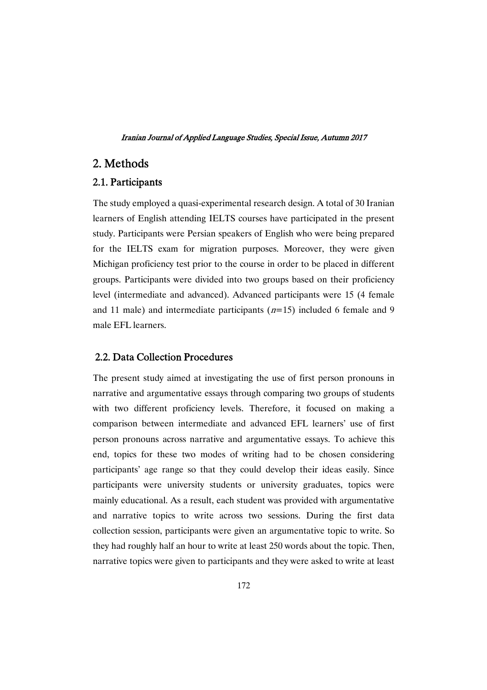# 2.Methods

## 2.1.Participants

The study employed a quasi-experimental research design. A total of 30 Iranian learners of English attending IELTS courses have participated in the present study. Participants were Persian speakers of English who were being prepared for the IELTS exam for migration purposes. Moreover, they were given Michigan proficiency test prior to the course in order to be placed in different groups. Participants were divided into two groups based on their proficiency level (intermediate and advanced). Advanced participants were 15 (4 female and 11 male) and intermediate participants  $(n=15)$  included 6 female and 9 male EFL learners.

### 2.2. Data Collection Procedures

The present study aimed at investigating the use of first person pronouns in narrative and argumentative essays through comparing two groups of students with two different proficiency levels. Therefore, it focused on making a comparison between intermediate and advanced EFL learners' use of first person pronouns across narrative and argumentative essays. To achieve this end, topics for these two modes of writing had to be chosen considering participants' age range so that they could develop their ideas easily. Since participants were university students or university graduates, topics were mainly educational. As a result, each student was provided with argumentative and narrative topics to write across two sessions. During the first data collection session, participants were given an argumentative topic to write. So they had roughly half an hour to write at least 250 words about the topic. Then, narrative topics were given to participants and they were asked to write at least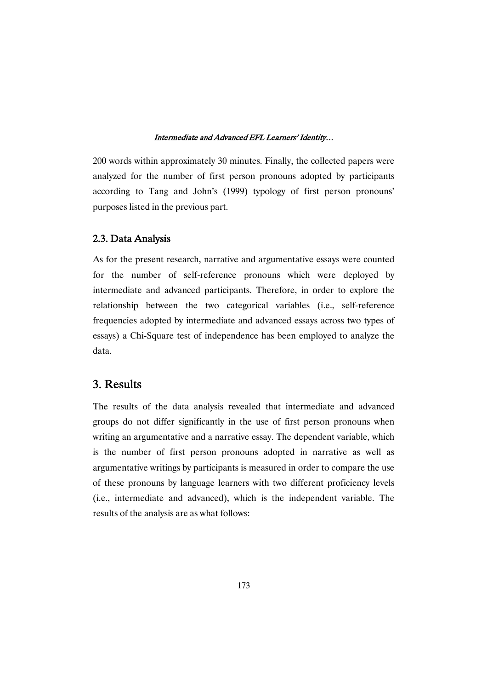200 words within approximately 30 minutes. Finally, the collected papers were analyzed for the number of first person pronouns adopted by participants according to Tang and John's (1999) typology of first person pronouns' purposes listed in the previous part.

### 2.3. Data Analysis

As for the present research, narrative and argumentative essays were counted for the number of self-reference pronouns which were deployed by intermediate and advanced participants. Therefore, in order to explore the relationship between the two categorical variables (i.e., self-reference frequencies adopted by intermediate and advanced essays across two types of essays) a Chi-Square test of independence has been employed to analyze the data.

## 3.Results

The results of the data analysis revealed that intermediate and advanced groups do not differ significantly in the use of first person pronouns when writing an argumentative and a narrative essay. The dependent variable, which is the number of first person pronouns adopted in narrative as well as argumentative writings by participants is measured in order to compare the use of these pronouns by language learners with two different proficiency levels (i.e., intermediate and advanced), which is the independent variable. The results of the analysis are as what follows: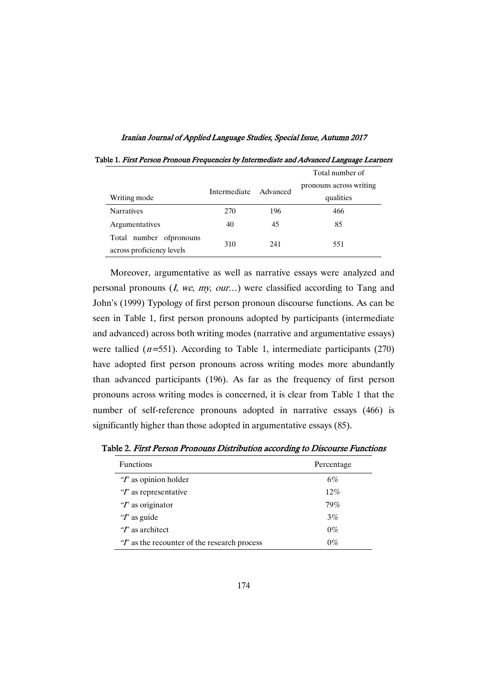Iranian Journal of Applied Language Studies, Special Issue, Autumn 2017

|                                                       |              |          | Total number of         |  |
|-------------------------------------------------------|--------------|----------|-------------------------|--|
|                                                       | Intermediate | Advanced | pronouns across writing |  |
| Writing mode                                          |              |          | qualities               |  |
| <b>Narratives</b>                                     | 270          | 196      | 466                     |  |
| Argumentatives                                        | 40           | 45       | 85                      |  |
| Total number of pronouns<br>across proficiency levels | 310          | 241      | 551                     |  |

Table 1. First Person Pronoun Frequencies by Intermediate and Advanced Language Learners

Moreover, argumentative as well as narrative essays were analyzed and personal pronouns  $(I, we, my, our...)$  were classified according to Tang and John's (1999) Typology of first person pronoun discourse functions. As can be seen in Table 1, first person pronouns adopted by participants (intermediate and advanced) across both writing modes (narrative and argumentative essays) were tallied  $(n=551)$ . According to Table 1, intermediate participants (270) have adopted first person pronouns across writing modes more abundantly than advanced participants (196). As far as the frequency of first person pronouns across writing modes is concerned, it is clear from Table 1 that the number of self-reference pronouns adopted in narrative essays (466) is significantly higher than those adopted in argumentative essays (85).

Table 2. First Person Pronouns Distribution according to Discourse Functions

| <b>Functions</b>                             | Percentage |
|----------------------------------------------|------------|
| $T$ as opinion holder                        | 6%         |
| $T$ as representative                        | $12\%$     |
| $T$ as originator                            | 79%        |
| $T$ as guide                                 | 3%         |
| $\mathscr{C}$ as architect                   | $0\%$      |
| $T$ as the recounter of the research process | $0\%$      |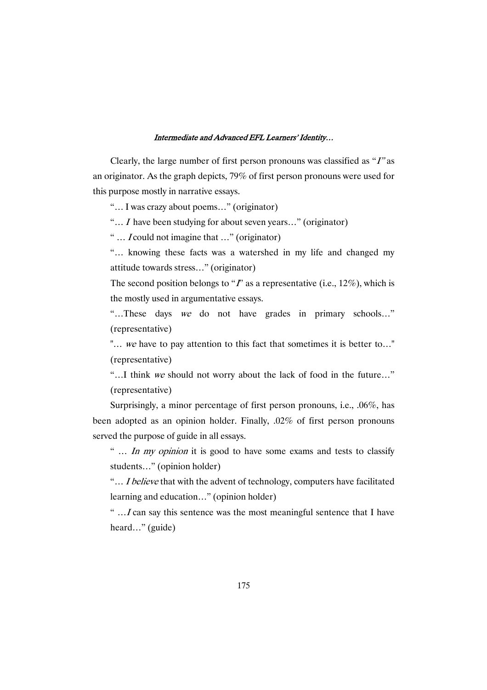Clearly, the large number of first person pronouns was classified as "I" as an originator. As the graph depicts, 79% of first person pronouns were used for this purpose mostly in narrative essays.

"… I was crazy about poems…" (originator)

"… <sup>I</sup> have been studying for about seven years…" (originator)

" … <sup>I</sup> could not imagine that …" (originator)

"… knowing these facts was a watershed in my life and changed my attitude towards stress…" (originator)

The second position belongs to " $\vec{l}$ " as a representative (i.e., 12%), which is the mostly used in argumentative essays.

"…These days we do not have grades in primary schools…" (representative)

"... we have to pay attention to this fact that sometimes it is better to..." (representative)

"…I think we should not worry about the lack of food in the future…" (representative)

Surprisingly, a minor percentage of first person pronouns, i.e., .06%, has been adopted as an opinion holder. Finally, .02% of first person pronouns served the purpose of guide in all essays.

" ... In my opinion it is good to have some exams and tests to classify students…" (opinion holder)

"... *I believe* that with the advent of technology, computers have facilitated learning and education…" (opinion holder)

" $\ldots$  I can say this sentence was the most meaningful sentence that I have heard…" (guide)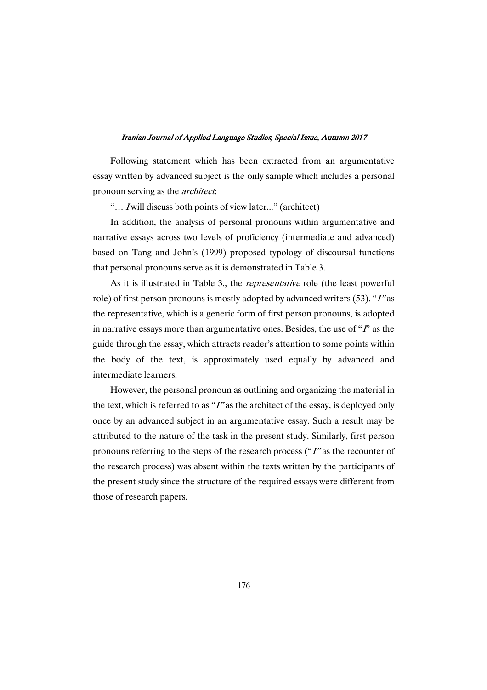Following statement which has been extracted from an argumentative essay written by advanced subject is the only sample which includes a personal pronoun serving as the architect:

"... *I* will discuss both points of view later..." (architect)

In addition, the analysis of personal pronouns within argumentative and narrative essays across two levels of proficiency (intermediate and advanced) based on Tang and John's (1999) proposed typology of discoursal functions that personal pronouns serve as it is demonstrated in Table 3.

As it is illustrated in Table 3., the *representative* role (the least powerful role) of first person pronouns is mostly adopted by advanced writers (53). "I" as the representative, which is a generic form of first person pronouns, is adopted in narrative essays more than argumentative ones. Besides, the use of " $\Gamma$ " as the guide through the essay, which attracts reader's attention to some points within the body of the text, is approximately used equally by advanced and intermediate learners.

However, the personal pronoun as outlining and organizing the material in the text, which is referred to as " $I$ " as the architect of the essay, is deployed only once by an advanced subject in an argumentative essay. Such a result may be attributed to the nature of the task in the present study. Similarly, first person pronouns referring to the steps of the research process ("I" as the recounter of the research process) was absent within the texts written by the participants of the present study since the structure of the required essays were different from those of research papers.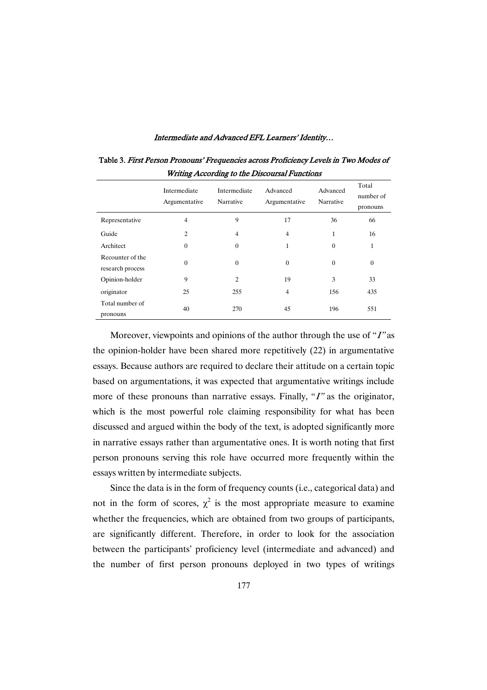|                                      | Intermediate<br>Argumentative | Intermediate<br>Narrative | Advanced<br>Argumentative | Advanced<br>Narrative | Total<br>number of<br>pronouns |
|--------------------------------------|-------------------------------|---------------------------|---------------------------|-----------------------|--------------------------------|
| Representative                       | $\overline{4}$                | 9                         | 17                        | 36                    | 66                             |
| Guide                                | $\overline{2}$                | $\overline{4}$            | $\overline{4}$            | $\mathbf{1}$          | 16                             |
| Architect                            | $\mathbf{0}$                  | $\boldsymbol{0}$          | 1                         | $\mathbf{0}$          | 1                              |
| Recounter of the<br>research process | $\theta$                      | $\theta$                  | $\overline{0}$            | $\mathbf{0}$          | $\mathbf{0}$                   |
| Opinion-holder                       | 9                             | $\overline{2}$            | 19                        | 3                     | 33                             |
| originator                           | 25                            | 255                       | 4                         | 156                   | 435                            |
| Total number of<br>pronouns          | 40                            | 270                       | 45                        | 196                   | 551                            |

Table 3. First Person Pronouns' Frequencies across Proficiency Levels in Two Modes of Writing According to the Discoursal Functions

Moreover, viewpoints and opinions of the author through the use of "I" as the opinion-holder have been shared more repetitively (22) in argumentative essays. Because authors are required to declare their attitude on a certain topic based on argumentations, it was expected that argumentative writings include more of these pronouns than narrative essays. Finally, "I" as the originator, which is the most powerful role claiming responsibility for what has been discussed and argued within the body of the text, is adopted significantly more in narrative essays rather than argumentative ones. It is worth noting that first person pronouns serving this role have occurred more frequently within the essays written by intermediate subjects.

Since the data is in the form of frequency counts (i.e., categorical data) and not in the form of scores,  $\chi^2$  is the most appropriate measure to examine whether the frequencies, which are obtained from two groups of participants, are significantly different. Therefore, in order to look for the association between the participants' proficiency level (intermediate and advanced) and the number of first person pronouns deployed in two types of writings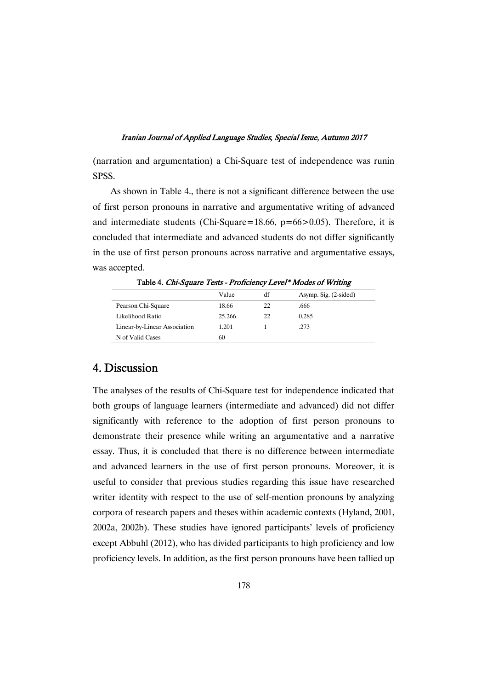(narration and argumentation) a Chi-Square test of independence was runin SPSS.

As shown in Table 4., there is not a significant difference between the use of first person pronouns in narrative and argumentative writing of advanced and intermediate students (Chi-Square=18.66,  $p=66>0.05$ ). Therefore, it is concluded that intermediate and advanced students do not differ significantly in the use of first person pronouns across narrative and argumentative essays, was accepted.

|                              | Value  | df | Asymp. Sig. (2-sided) |
|------------------------------|--------|----|-----------------------|
| Pearson Chi-Square           | 18.66  | 22 | .666                  |
| Likelihood Ratio             | 25.266 | 22 | 0.285                 |
| Linear-by-Linear Association | 1.201  |    | .273                  |
| N of Valid Cases             | 60     |    |                       |

Table 4. Chi-Square Tests - Proficiency Level\* Modes of Writing

# 4.Discussion

The analyses of the results of Chi-Square test for independence indicated that both groups of language learners (intermediate and advanced) did not differ significantly with reference to the adoption of first person pronouns to demonstrate their presence while writing an argumentative and a narrative essay. Thus, it is concluded that there is no difference between intermediate and advanced learners in the use of first person pronouns. Moreover, it is useful to consider that previous studies regarding this issue have researched writer identity with respect to the use of self-mention pronouns by analyzing corpora of research papers and theses within academic contexts (Hyland, 2001, 2002a, 2002b). These studies have ignored participants' levels of proficiency except Abbuhl (2012), who has divided participants to high proficiency and low proficiency levels. In addition, as the first person pronouns have been tallied up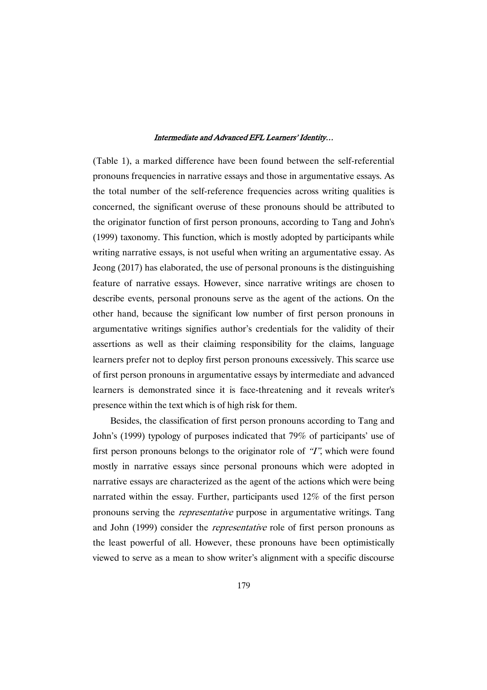(Table 1), a marked difference have been found between the self-referential pronouns frequencies in narrative essays and those in argumentative essays. As the total number of the self-reference frequencies across writing qualities is concerned, the significant overuse of these pronouns should be attributed to the originator function of first person pronouns, according to Tang and John's (1999) taxonomy. This function, which is mostly adopted by participants while writing narrative essays, is not useful when writing an argumentative essay. As Jeong (2017) has elaborated, the use of personal pronouns is the distinguishing feature of narrative essays. However, since narrative writings are chosen to describe events, personal pronouns serve as the agent of the actions. On the other hand, because the significant low number of first person pronouns in argumentative writings signifies author's credentials for the validity of their assertions as well as their claiming responsibility for the claims, language learners prefer not to deploy first person pronouns excessively. This scarce use of first person pronouns in argumentative essays by intermediate and advanced learners is demonstrated since it is face-threatening and it reveals writer's presence within the text which is of high risk for them.

Besides, the classification of first person pronouns according to Tang and John's (1999) typology of purposes indicated that 79% of participants' use of first person pronouns belongs to the originator role of "I", which were found mostly in narrative essays since personal pronouns which were adopted in narrative essays are characterized as the agent of the actions which were being narrated within the essay. Further, participants used 12% of the first person pronouns serving the representative purpose in argumentative writings. Tang and John (1999) consider the *representative* role of first person pronouns as the least powerful of all. However, these pronouns have been optimistically viewed to serve as a mean to show writer's alignment with a specific discourse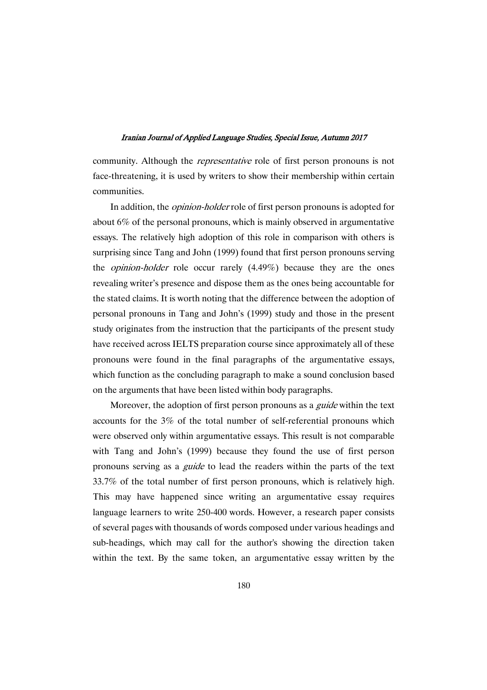community. Although the *representative* role of first person pronouns is not face-threatening, it is used by writers to show their membership within certain communities.

In addition, the *opinion-holder* role of first person pronouns is adopted for about 6% of the personal pronouns, which is mainly observed in argumentative essays. The relatively high adoption of this role in comparison with others is surprising since Tang and John (1999) found that first person pronouns serving the *opinion-holder* role occur rarely  $(4.49\%)$  because they are the ones revealing writer's presence and dispose them as the ones being accountable for the stated claims. It is worth noting that the difference between the adoption of personal pronouns in Tang and John's (1999) study and those in the present study originates from the instruction that the participants of the present study have received across IELTS preparation course since approximately all of these pronouns were found in the final paragraphs of the argumentative essays, which function as the concluding paragraph to make a sound conclusion based on the arguments that have been listed within body paragraphs.

Moreover, the adoption of first person pronouns as a *guide* within the text accounts for the 3% of the total number of self-referential pronouns which were observed only within argumentative essays. This result is not comparable with Tang and John's (1999) because they found the use of first person pronouns serving as a guide to lead the readers within the parts of the text 33.7% of the total number of first person pronouns, which is relatively high. This may have happened since writing an argumentative essay requires language learners to write 250-400 words. However, a research paper consists of several pages with thousands of words composed under various headings and sub-headings, which may call for the author's showing the direction taken within the text. By the same token, an argumentative essay written by the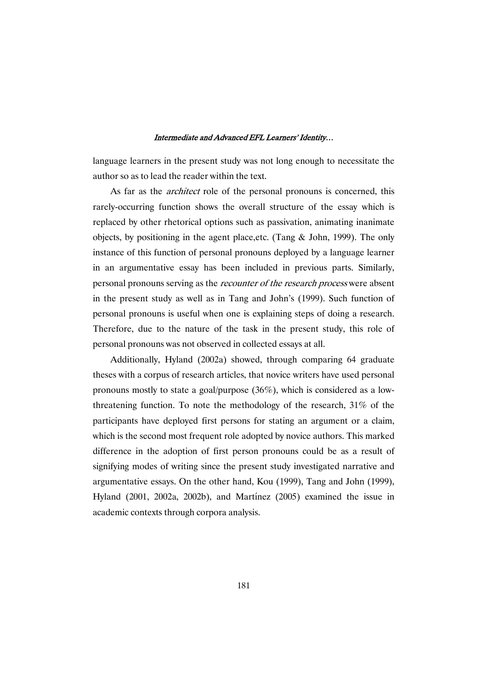language learners in the present study was not long enough to necessitate the author so as to lead the reader within the text.

As far as the *architect* role of the personal pronouns is concerned, this rarely-occurring function shows the overall structure of the essay which is replaced by other rhetorical options such as passivation, animating inanimate objects, by positioning in the agent place,etc. (Tang & John, 1999). The only instance of this function of personal pronouns deployed by a language learner in an argumentative essay has been included in previous parts. Similarly, personal pronouns serving as the recounter of the research process were absent in the present study as well as in Tang and John's (1999). Such function of personal pronouns is useful when one is explaining steps of doing a research. Therefore, due to the nature of the task in the present study, this role of personal pronouns was not observed in collected essays at all.

Additionally, Hyland (2002a) showed, through comparing 64 graduate theses with a corpus of research articles, that novice writers have used personal pronouns mostly to state a goal/purpose (36%), which is considered as a lowthreatening function. To note the methodology of the research, 31% of the participants have deployed first persons for stating an argument or a claim, which is the second most frequent role adopted by novice authors. This marked difference in the adoption of first person pronouns could be as a result of signifying modes of writing since the present study investigated narrative and argumentative essays. On the other hand, Kou (1999), Tang and John (1999), Hyland (2001, 2002a, 2002b), and Martínez (2005) examined the issue in academic contexts through corpora analysis.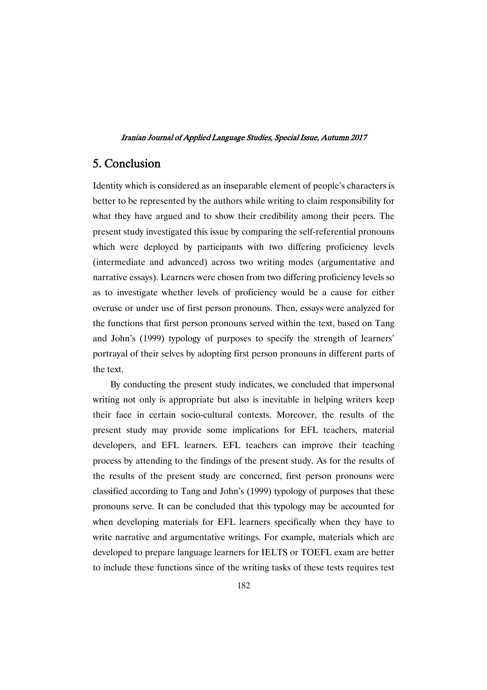# 5.Conclusion

Identity which is considered as an inseparable element of people's characters is better to be represented by the authors while writing to claim responsibility for what they have argued and to show their credibility among their peers. The present study investigated this issue by comparing the self-referential pronouns which were deployed by participants with two differing proficiency levels (intermediate and advanced) across two writing modes (argumentative and narrative essays). Learners were chosen from two differing proficiency levels so as to investigate whether levels of proficiency would be a cause for either overuse or under use of first person pronouns. Then, essays were analyzed for the functions that first person pronouns served within the text, based on Tang and John's (1999) typology of purposes to specify the strength of learners' portrayal of their selves by adopting first person pronouns in different parts of the text.

By conducting the present study indicates, we concluded that impersonal writing not only is appropriate but also is inevitable in helping writers keep their face in certain socio-cultural contexts. Moreover, the results of the present study may provide some implications for EFL teachers, material developers, and EFL learners. EFL teachers can improve their teaching process by attending to the findings of the present study. As for the results of the results of the present study are concerned, first person pronouns were classified according to Tang and John's (1999) typology of purposes that these pronouns serve. It can be concluded that this typology may be accounted for when developing materials for EFL learners specifically when they have to write narrative and argumentative writings. For example, materials which are developed to prepare language learners for IELTS or TOEFL exam are better to include these functions since of the writing tasks of these tests requires test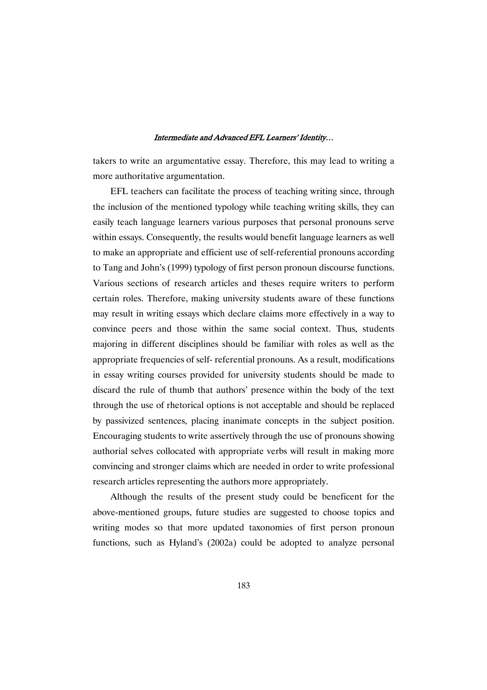takers to write an argumentative essay. Therefore, this may lead to writing a more authoritative argumentation.

EFL teachers can facilitate the process of teaching writing since, through the inclusion of the mentioned typology while teaching writing skills, they can easily teach language learners various purposes that personal pronouns serve within essays. Consequently, the results would benefit language learners as well to make an appropriate and efficient use of self-referential pronouns according to Tang and John's (1999) typology of first person pronoun discourse functions. Various sections of research articles and theses require writers to perform certain roles. Therefore, making university students aware of these functions may result in writing essays which declare claims more effectively in a way to convince peers and those within the same social context. Thus, students majoring in different disciplines should be familiar with roles as well as the appropriate frequencies of self- referential pronouns. As a result, modifications in essay writing courses provided for university students should be made to discard the rule of thumb that authors' presence within the body of the text through the use of rhetorical options is not acceptable and should be replaced by passivized sentences, placing inanimate concepts in the subject position. Encouraging students to write assertively through the use of pronouns showing authorial selves collocated with appropriate verbs will result in making more convincing and stronger claims which are needed in order to write professional research articles representing the authors more appropriately.

Although the results of the present study could be beneficent for the above-mentioned groups, future studies are suggested to choose topics and writing modes so that more updated taxonomies of first person pronoun functions, such as Hyland's (2002a) could be adopted to analyze personal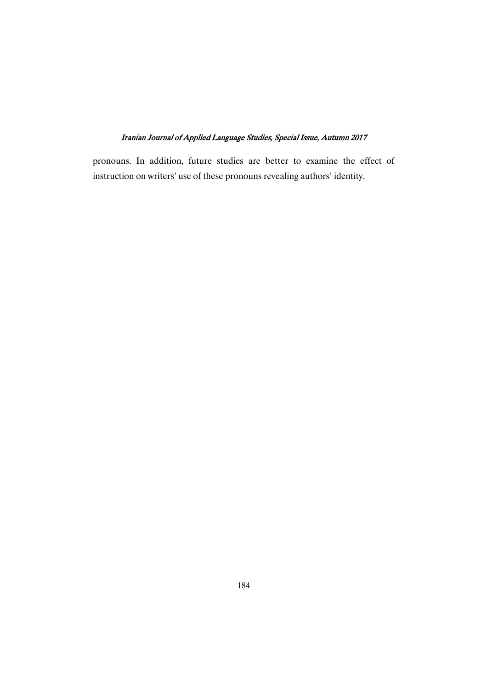pronouns. In addition, future studies are better to examine the effect of instruction on writers' use of these pronouns revealing authors' identity.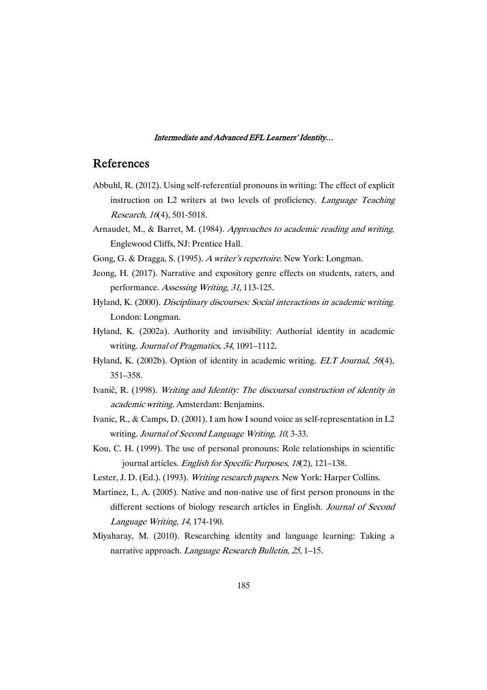## References

- Abbuhl, R. (2012). Using self-referential pronouns in writing: The effect of explicit instruction on L2 writers at two levels of proficiency. Language Teaching Research, <sup>16</sup>(4), 501-5018.
- Arnaudet, M., & Barret, M. (1984). Approaches to academic reading and writing, Englewood Cliffs, NJ: Prentice Hall.
- Gong, G. & Dragga, S. (1995). <sup>A</sup> writer's repertoire. New York: Longman.
- Jeong, H. (2017). Narrative and expository genre effects on students, raters, and performance. Assessing Writing, <sup>31</sup>, 113-125.
- Hyland, K. (2000). Disciplinary discourses: Social interactions in academic writing. London: Longman.
- Hyland, K. (2002a). Authority and invisibility: Authorial identity in academic writing. Journal of Pragmatics, <sup>34</sup>, 1091–1112.
- Hyland, K. (2002b). Option of identity in academic writing. *ELT Journal*, 56(4), 351–358.
- Ivanič, R. (1998). Writing and Identity: The discoursal construction of identity in academic writing. Amsterdam: Benjamins.
- Ivanic, R., & Camps, D. (2001). I am how I sound voice as self-representation in L2 writing. Journal of Second Language Writing, <sup>10</sup>, 3-33.
- Kou, C. H. (1999). The use of personal pronouns: Role relationships in scientific journal articles. English for Specific Purposes, <sup>18</sup>(2), 121–138.
- Lester, J. D. (Ed.). (1993). Writing research papers. New York: Harper Collins.
- Martínez, I., A. (2005). Native and non-native use of first person pronouns in the different sections of biology research articles in English. Journal of Second Language Writing, <sup>14</sup>, 174-190.
- Miyaharay, M. (2010). Researching identity and language learning: Taking a narrative approach. *Language Research Bulletin*, 25, 1–15.